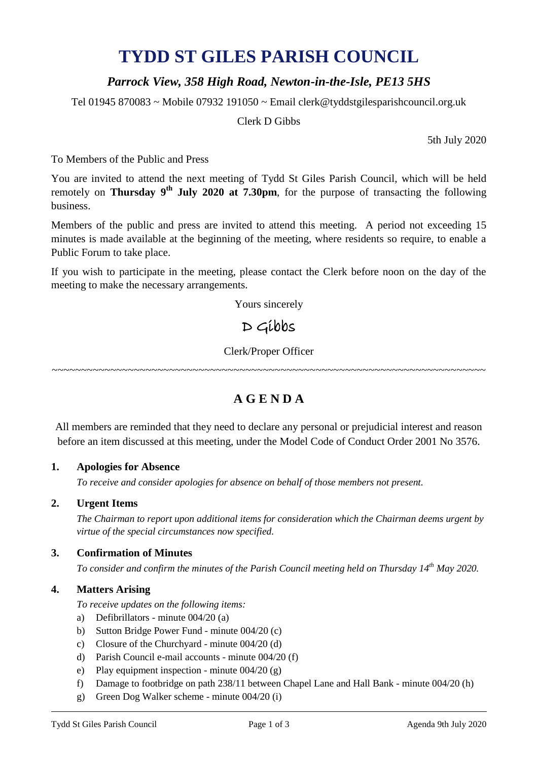# **TYDD ST GILES PARISH COUNCIL**

## *Parrock View, 358 High Road, Newton-in-the-Isle, PE13 5HS*

Tel 01945 870083 ~ Mobile 07932 191050 ~ Email clerk@tyddstgilesparishcouncil.org.uk

Clerk D Gibbs

5th July 2020

To Members of the Public and Press

You are invited to attend the next meeting of Tydd St Giles Parish Council, which will be held remotely on **Thursday 9<sup>th</sup> July 2020 at 7.30pm**, for the purpose of transacting the following business.

Members of the public and press are invited to attend this meeting. A period not exceeding 15 minutes is made available at the beginning of the meeting, where residents so require, to enable a Public Forum to take place.

If you wish to participate in the meeting, please contact the Clerk before noon on the day of the meeting to make the necessary arrangements.

Yours sincerely

## D Gibbs

Clerk/Proper Officer

~~~~~~~~~~~~~~~~~~~~~~~~~~~~~~~~~~~~~~~~~~~~~~~~~~~~~~~~~~~~~~~~~~~~~~~~~~

## **A G E N D A**

All members are reminded that they need to declare any personal or prejudicial interest and reason before an item discussed at this meeting, under the Model Code of Conduct Order 2001 No 3576.

#### **1. Apologies for Absence**

*To receive and consider apologies for absence on behalf of those members not present.*

#### **2. Urgent Items**

*The Chairman to report upon additional items for consideration which the Chairman deems urgent by virtue of the special circumstances now specified.*

#### **3. Confirmation of Minutes**

*To consider and confirm the minutes of the Parish Council meeting held on Thursday 14th May 2020.*

#### **4. Matters Arising**

*To receive updates on the following items:*

- a) Defibrillators minute 004/20 (a)
- b) Sutton Bridge Power Fund minute 004/20 (c)
- c) Closure of the Churchyard minute 004/20 (d)
- d) Parish Council e-mail accounts minute 004/20 (f)
- e) Play equipment inspection minute 004/20 (g)
- f) Damage to footbridge on path 238/11 between Chapel Lane and Hall Bank minute 004/20 (h)
- g) Green Dog Walker scheme minute 004/20 (i)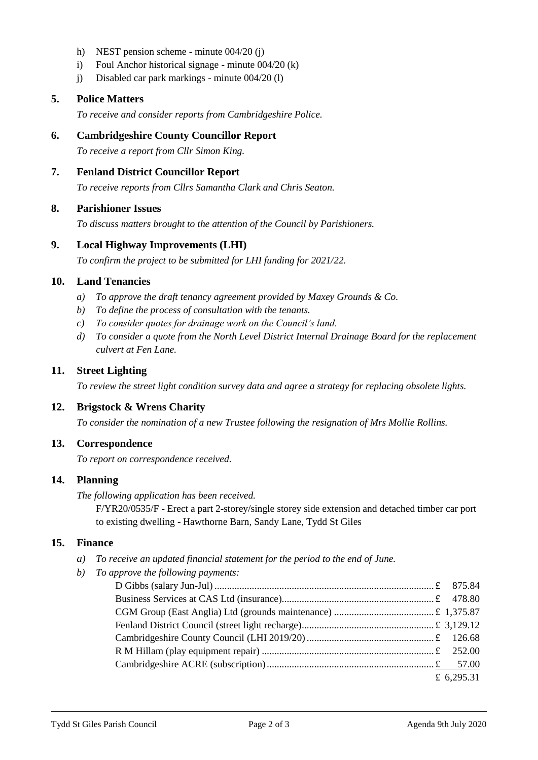- h) NEST pension scheme minute 004/20 (j)
- i) Foul Anchor historical signage minute 004/20 (k)
- j) Disabled car park markings minute 004/20 (l)

#### **5. Police Matters**

*To receive and consider reports from Cambridgeshire Police.*

#### **6. Cambridgeshire County Councillor Report**

*To receive a report from Cllr Simon King.*

#### **7. Fenland District Councillor Report**

*To receive reports from Cllrs Samantha Clark and Chris Seaton.*

#### **8. Parishioner Issues**

*To discuss matters brought to the attention of the Council by Parishioners.*

#### **9. Local Highway Improvements (LHI)**

*To confirm the project to be submitted for LHI funding for 2021/22.*

#### **10. Land Tenancies**

- *a) To approve the draft tenancy agreement provided by Maxey Grounds & Co.*
- *b) To define the process of consultation with the tenants.*
- *c) To consider quotes for drainage work on the Council's land.*
- *d) To consider a quote from the North Level District Internal Drainage Board for the replacement culvert at Fen Lane.*

#### **11. Street Lighting**

*To review the street light condition survey data and agree a strategy for replacing obsolete lights.*

#### **12. Brigstock & Wrens Charity**

*To consider the nomination of a new Trustee following the resignation of Mrs Mollie Rollins.*

#### **13. Correspondence**

*To report on correspondence received.*

#### **14. Planning**

*The following application has been received.*

F/YR20/0535/F - Erect a part 2-storey/single storey side extension and detached timber car port to existing dwelling - Hawthorne Barn, Sandy Lane, Tydd St Giles

#### **15. Finance**

- *a) To receive an updated financial statement for the period to the end of June.*
- *b) To approve the following payments:*

| £ 6,295.31 |
|------------|